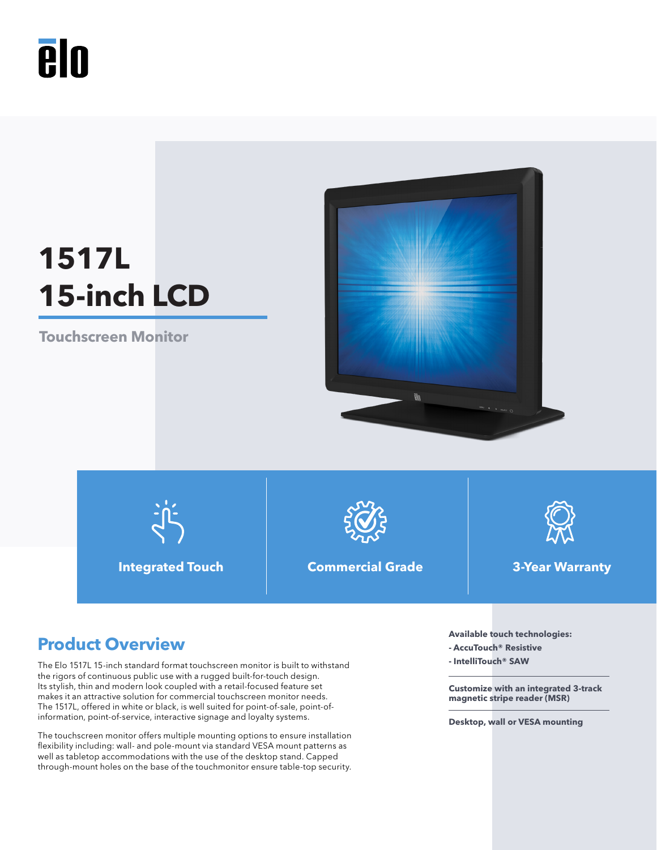# **A**lo

# **1517L 15-inch LCD**

**Touchscreen Monitor**





**Integrated Touch Commercial Grade 3-Year Warranty**



- **AccuTouch® Resistive**
- **IntelliTouch® SAW**

**Customize with an integrated 3-track magnetic stripe reader (MSR)**

**Desktop, wall or VESA mounting** 

# **Product Overview Available touch technologies:**

The Elo 1517L 15-inch standard format touchscreen monitor is built to withstand the rigors of continuous public use with a rugged built-for-touch design. Its stylish, thin and modern look coupled with a retail-focused feature set makes it an attractive solution for commercial touchscreen monitor needs. The 1517L, offered in white or black, is well suited for point-of-sale, point-ofinformation, point-of-service, interactive signage and loyalty systems.

The touchscreen monitor offers multiple mounting options to ensure installation flexibility including: wall- and pole-mount via standard VESA mount patterns as well as tabletop accommodations with the use of the desktop stand. Capped through-mount holes on the base of the touchmonitor ensure table-top security.